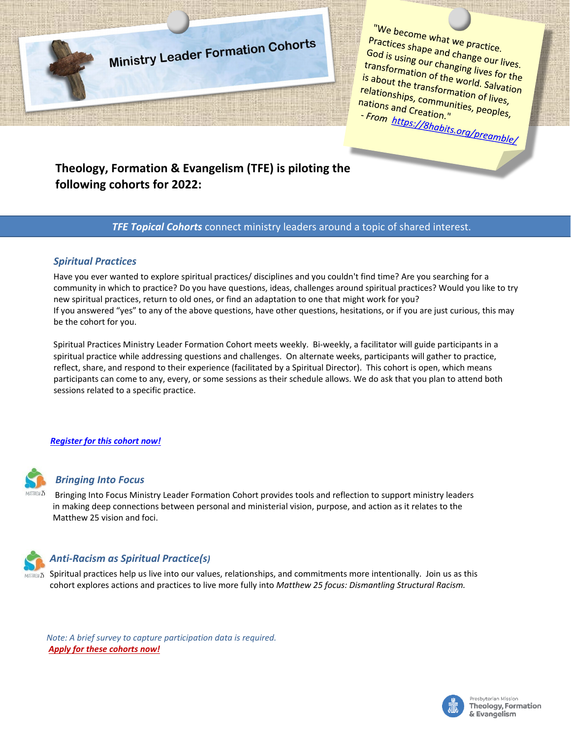

We become what we practice.<br>Practices shape and change.<br>Sod is unitable and change. God is using and change our lives.<br>God is using our changing lives for the<br>transformation of the world. Salw the transformation of the marige our lives.<br>Is about the transformation of the world. Salvation<br>Is about the transformation of liver. is about the transformation of the world. Salvating<br>Is about the transformation of lives,<br>relations and a communities as repout the transformation of lives,<br>relationships, communities, peoples,<br>nations and Creation."<br>- From https: (in the set on the sepales, nations and Creation."<br>From https://ex.ion.i - From https://8habits.org/preamble/<br>- From https://8habits.org/preamble/

# **Theology, Formation & Evangelism (TFE) is piloting the following cohorts for 2022:**

## *TFE Topical Cohorts* connect ministry leaders around a topic of shared interest.

### *Spiritual Practices*

Have you ever wanted to explore spiritual practices/ disciplines and you couldn't find time? Are you searching for a community in which to practice? Do you have questions, ideas, challenges around spiritual practices? Would you like to try new spiritual practices, return to old ones, or find an adaptation to one that might work for you? If you answered "yes" to any of the above questions, have other questions, hesitations, or if you are just curious, this may be the cohort for you.

Spiritual Practices Ministry Leader Formation Cohort meets weekly. Bi-weekly, a facilitator will guide participants in a spiritual practice while addressing questions and challenges. On alternate weeks, participants will gather to practice, reflect, share, and respond to their experience (facilitated by a Spiritual Director). This cohort is open, which means participants can come to any, every, or some sessions as their schedule allows. We do ask that you plan to attend both sessions related to a specific practice.

#### *Register [for this cohort now!](https://forms.office.com/r/9XWxXMpcC0)*



#### *Bringing Into Focus*

Bringing Into Focus Ministry Leader Formation Cohort provides tools and reflection to support ministry leaders in making deep connections between personal and ministerial vision, purpose, and action as it relates to the Matthew 25 vision and foci.



# *Anti-Racism as Spiritual Practice(s)*

 $\frac{1}{4}$  Spiritual practices help us live into our values, relationships, and commitments more intentionally. Join us as this cohort explores actions and practices to live more fully into *Matthew 25 focus: Dismantling Structural Racism.*

*Note: A brief survey to capture participation data is required. [Apply for these](https://docs.google.com/forms/d/e/1FAIpQLSdZR0MhqnAY42fkwvzokdHF7emJRhBRdZZ38unYWAQHIZ4lSw/viewform?usp=sf_link) cohorts now!*